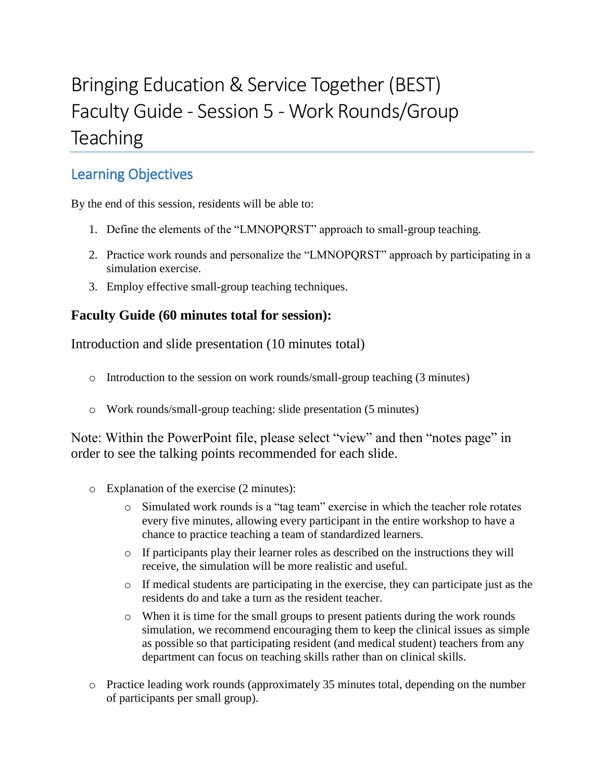## Bringing Education & Service Together (BEST) Faculty Guide - Session 5 - Work Rounds/Group **Teaching**

## Learning Objectives

By the end of this session, residents will be able to:

- 1. Define the elements of the "LMNOPQRST" approach to small-group teaching.
- 2. Practice work rounds and personalize the "LMNOPQRST" approach by participating in a simulation exercise.
- 3. Employ effective small-group teaching techniques.

## **Faculty Guide (60 minutes total for session):**

Introduction and slide presentation (10 minutes total)

- o Introduction to the session on work rounds/small-group teaching (3 minutes)
- o Work rounds/small-group teaching: slide presentation (5 minutes)

Note: Within the PowerPoint file, please select "view" and then "notes page" in order to see the talking points recommended for each slide.

- o Explanation of the exercise (2 minutes):
	- o Simulated work rounds is a "tag team" exercise in which the teacher role rotates every five minutes, allowing every participant in the entire workshop to have a chance to practice teaching a team of standardized learners.
	- $\circ$  If participants play their learner roles as described on the instructions they will receive, the simulation will be more realistic and useful.
	- o If medical students are participating in the exercise, they can participate just as the residents do and take a turn as the resident teacher.
	- $\circ$  When it is time for the small groups to present patients during the work rounds simulation, we recommend encouraging them to keep the clinical issues as simple as possible so that participating resident (and medical student) teachers from any department can focus on teaching skills rather than on clinical skills.
- o Practice leading work rounds (approximately 35 minutes total, depending on the number of participants per small group).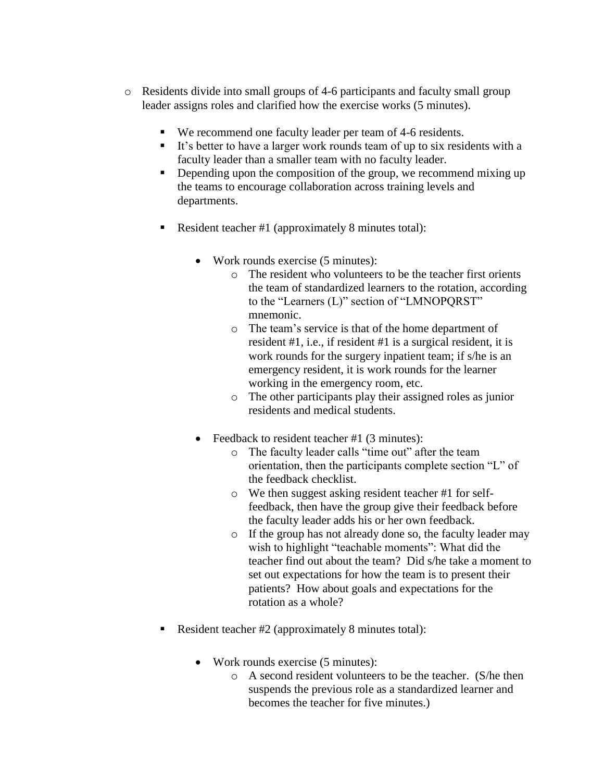- o Residents divide into small groups of 4-6 participants and faculty small group leader assigns roles and clarified how the exercise works (5 minutes).
	- We recommend one faculty leader per team of 4-6 residents.
	- It's better to have a larger work rounds team of up to six residents with a faculty leader than a smaller team with no faculty leader.
	- Depending upon the composition of the group, we recommend mixing up the teams to encourage collaboration across training levels and departments.
	- Resident teacher #1 (approximately 8 minutes total):
		- Work rounds exercise (5 minutes):
			- $\circ$  The resident who volunteers to be the teacher first orients the team of standardized learners to the rotation, according to the "Learners (L)" section of "LMNOPQRST" mnemonic.
			- o The team's service is that of the home department of resident #1, i.e., if resident #1 is a surgical resident, it is work rounds for the surgery inpatient team; if s/he is an emergency resident, it is work rounds for the learner working in the emergency room, etc.
			- o The other participants play their assigned roles as junior residents and medical students.
		- Feedback to resident teacher #1 (3 minutes):
			- o The faculty leader calls "time out" after the team orientation, then the participants complete section "L" of the feedback checklist.
			- o We then suggest asking resident teacher #1 for selffeedback, then have the group give their feedback before the faculty leader adds his or her own feedback.
			- o If the group has not already done so, the faculty leader may wish to highlight "teachable moments": What did the teacher find out about the team? Did s/he take a moment to set out expectations for how the team is to present their patients? How about goals and expectations for the rotation as a whole?
	- Resident teacher #2 (approximately 8 minutes total):
		- Work rounds exercise (5 minutes):
			- o A second resident volunteers to be the teacher. (S/he then suspends the previous role as a standardized learner and becomes the teacher for five minutes.)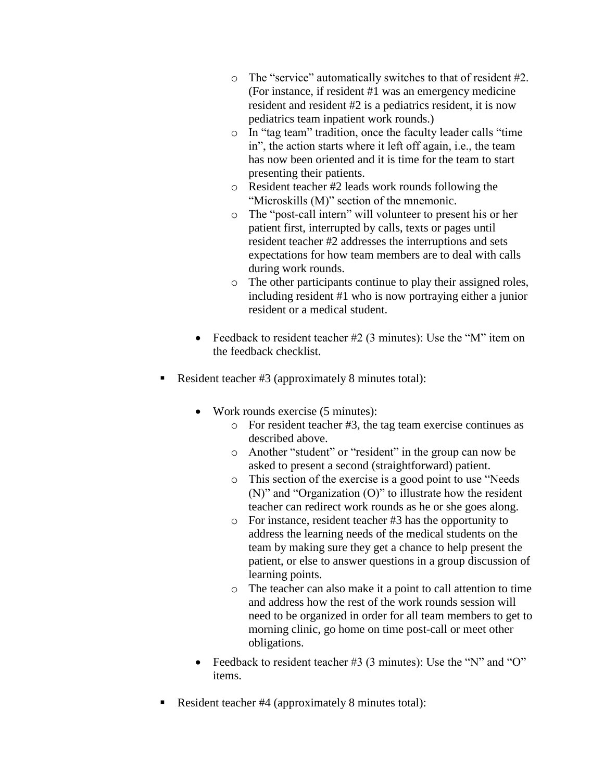- o The "service" automatically switches to that of resident #2. (For instance, if resident #1 was an emergency medicine resident and resident #2 is a pediatrics resident, it is now pediatrics team inpatient work rounds.)
- o In "tag team" tradition, once the faculty leader calls "time in", the action starts where it left off again, i.e., the team has now been oriented and it is time for the team to start presenting their patients.
- o Resident teacher #2 leads work rounds following the "Microskills (M)" section of the mnemonic.
- o The "post-call intern" will volunteer to present his or her patient first, interrupted by calls, texts or pages until resident teacher #2 addresses the interruptions and sets expectations for how team members are to deal with calls during work rounds.
- o The other participants continue to play their assigned roles, including resident #1 who is now portraying either a junior resident or a medical student.
- Feedback to resident teacher #2 (3 minutes): Use the "M" item on the feedback checklist.
- Resident teacher #3 (approximately 8 minutes total):
	- Work rounds exercise (5 minutes):
		- o For resident teacher #3, the tag team exercise continues as described above.
		- o Another "student" or "resident" in the group can now be asked to present a second (straightforward) patient.
		- o This section of the exercise is a good point to use "Needs (N)" and "Organization (O)" to illustrate how the resident teacher can redirect work rounds as he or she goes along.
		- o For instance, resident teacher #3 has the opportunity to address the learning needs of the medical students on the team by making sure they get a chance to help present the patient, or else to answer questions in a group discussion of learning points.
		- o The teacher can also make it a point to call attention to time and address how the rest of the work rounds session will need to be organized in order for all team members to get to morning clinic, go home on time post-call or meet other obligations.
	- Feedback to resident teacher #3 (3 minutes): Use the "N" and "O" items.
- Resident teacher #4 (approximately 8 minutes total):